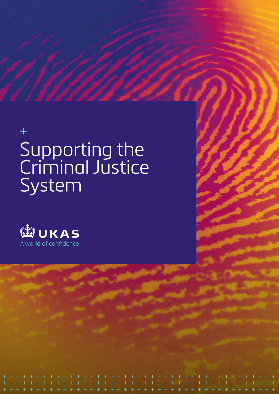# $\ddag$ Supporting the Criminal Justice System

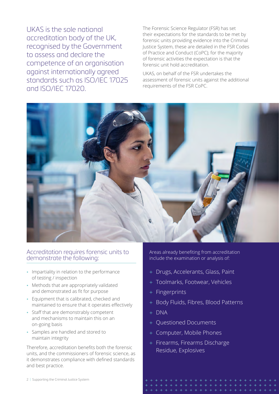UKAS is the sole national accreditation body of the UK, recognised by the Government to assess and declare the competence of an organisation against internationally agreed standards such as ISO/IEC 17025 and ISO/IEC 17020.

The Forensic Science Regulator (FSR) has set their expectations for the standards to be met by forensic units providing evidence into the Criminal Justice System, these are detailed in the FSR Codes of Practice and Conduct (CoPC); for the majority of forensic activities the expectation is that the forensic unit hold accreditation.

UKAS, on behalf of the FSR undertakes the assessment of forensic units against the additional requirements of the FSR CoPC.



#### Accreditation requires forensic units to demonstrate the following:

- Impartiality in relation to the performance of testing / inspection
- Methods that are appropriately validated and demonstrated as fit for purpose
- Equipment that is calibrated, checked and maintained to ensure that it operates effectively
- Staff that are demonstrably competent and mechanisms to maintain this on an on-going basis
- Samples are handled and stored to maintain integrity

Therefore, accreditation benefits both the forensic units, and the commissioners of forensic science, as it demonstrates compliance with defined standards and best practice.

2 | Supporting the Criminal Justice System

Areas already benefiting from accreditation include the examination or analysis of:

- + Drugs, Accelerants, Glass, Paint
- + Toolmarks, Footwear, Vehicles
- + Fingerprints
- + Body Fluids, Fibres, Blood Patterns
- + DNA
- + Questioned Documents
- + Computer, Mobile Phones
- + Firearms, Firearms Discharge Residue, Explosives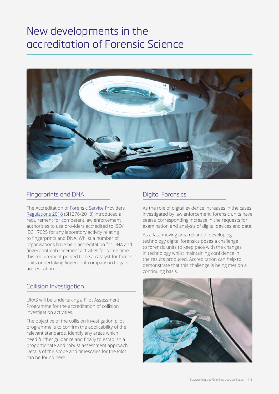# New developments in the accreditation of Forensic Science



### Fingerprints and DNA

The Accreditation of [Forensic Service Providers](https://www.legislation.gov.uk/uksi/2018/1276/made)  [Regulations 2018](https://www.legislation.gov.uk/uksi/2018/1276/made) (SI1276/2018) introduced a requirement for competent law enforcement authorities to use providers accredited to ISO/ IEC 17025 for any laboratory activity relating to fingerprints and DNA. Whilst a number of organisations have held accreditation for DNA and fingerprint enhancement activities for some time, this requirement proved to be a catalyst for forensic units undertaking fingerprint comparison to gain accreditation.

#### Collision Investigation

UKAS will be undertaking a Pilot Assessment Programme for the accreditation of collision investigation activities.

The objective of the collision investigation pilot programme is to confirm the applicability of the relevant standards, identify any areas which need further guidance and finally to establish a proportionate and robust assessment approach. Details of the scope and timescales for the Pilot can be found here.

## Digital Forensics

As the role of digital evidence increases in the cases investigated by law enforcement, forensic units have seen a corresponding increase in the requests for examination and analysis of digital devices and data.

As a fast-moving area reliant of developing technology digital forensics poses a challenge to forensic units to keep pace with the changes in technology whilst maintaining confidence in the results produced. Accreditation can help to demonstrate that this challenge is being met on a continuing basis.